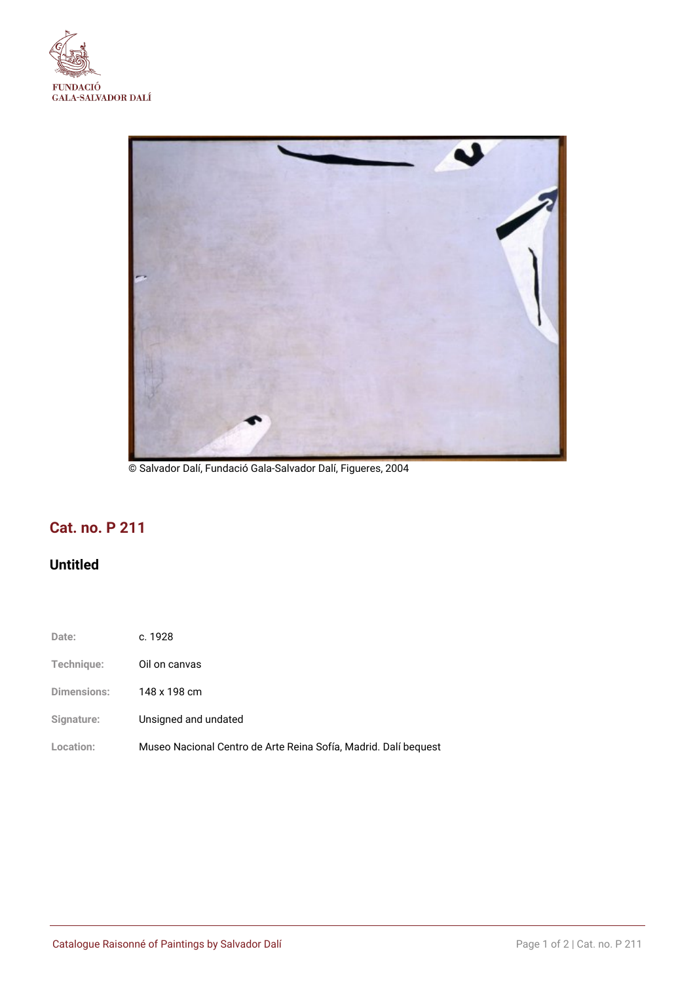



© Salvador Dalí, Fundació Gala-Salvador Dalí, Figueres, 2004

# **Cat. no. P 211**

## **Untitled**

- **Date:** c. 1928
- **Technique:** Oil on canvas
- **Dimensions:** 148 x 198 cm
- **Signature:** Unsigned and undated
- **Location:** Museo Nacional Centro de Arte Reina Sofía, Madrid. Dalí bequest